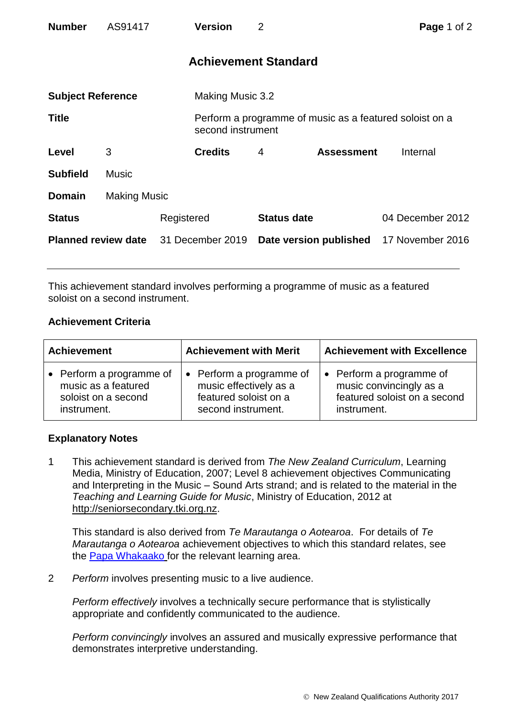| <b>Number</b>              | AS91417             |            | <b>Version</b>              | $\overline{2}$     |                                                         | Page 1 of 2      |  |
|----------------------------|---------------------|------------|-----------------------------|--------------------|---------------------------------------------------------|------------------|--|
|                            |                     |            | <b>Achievement Standard</b> |                    |                                                         |                  |  |
| <b>Subject Reference</b>   |                     |            | Making Music 3.2            |                    |                                                         |                  |  |
| <b>Title</b>               |                     |            | second instrument           |                    | Perform a programme of music as a featured soloist on a |                  |  |
| Level                      | 3                   |            | <b>Credits</b>              | $\overline{4}$     | <b>Assessment</b>                                       | Internal         |  |
| <b>Subfield</b>            | <b>Music</b>        |            |                             |                    |                                                         |                  |  |
| <b>Domain</b>              | <b>Making Music</b> |            |                             |                    |                                                         |                  |  |
| <b>Status</b>              |                     | Registered |                             | <b>Status date</b> |                                                         | 04 December 2012 |  |
| <b>Planned review date</b> |                     |            | 31 December 2019            |                    | Date version published                                  | 17 November 2016 |  |

This achievement standard involves performing a programme of music as a featured soloist on a second instrument.

## **Achievement Criteria**

| <b>Achievement</b>       | <b>Achievement with Merit</b> | <b>Achievement with Excellence</b> |  |
|--------------------------|-------------------------------|------------------------------------|--|
| • Perform a programme of | • Perform a programme of      | • Perform a programme of           |  |
| music as a featured      | music effectively as a        | music convincingly as a            |  |
| soloist on a second      | featured soloist on a         | featured soloist on a second       |  |
| instrument.              | second instrument.            | instrument.                        |  |

## **Explanatory Notes**

1 This achievement standard is derived from *The New Zealand Curriculum*, Learning Media, Ministry of Education, 2007; Level 8 achievement objectives Communicating and Interpreting in the Music – Sound Arts strand; and is related to the material in the *Teaching and Learning Guide for Music*, Ministry of Education, 2012 at [http://seniorsecondary.tki.org.nz.](http://seniorsecondary.tki.org.nz/)

This standard is also derived from *Te Marautanga o Aotearoa*. For details of *Te Marautanga o Aotearoa* achievement objectives to which this standard relates, see the [Papa Whakaako](http://tmoa.tki.org.nz/Te-Marautanga-o-Aotearoa/Taumata-Matauranga-a-Motu-Ka-Taea) for the relevant learning area.

2 *Perform* involves presenting music to a live audience.

*Perform effectively* involves a technically secure performance that is stylistically appropriate and confidently communicated to the audience.

*Perform convincingly* involves an assured and musically expressive performance that demonstrates interpretive understanding.